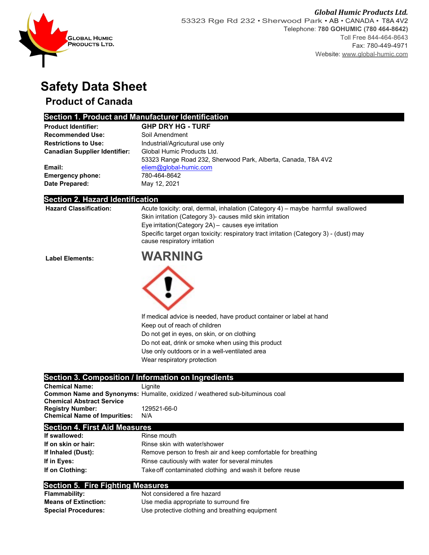

# **Safety Data Sheet**

## **Product of Canada**

### **Section 1. Product and Manufacturer Identification**

| <b>Product Identifier:</b>           | <b>GHP DRY HG - TURF</b>                                      |
|--------------------------------------|---------------------------------------------------------------|
| <b>Recommended Use:</b>              | Soil Amendment                                                |
| <b>Restrictions to Use:</b>          | Industrial/Agricutural use only                               |
| <b>Canadian Supplier Identifier:</b> | Global Humic Products Ltd.                                    |
|                                      | 53323 Range Road 232, Sherwood Park, Alberta, Canada, T8A 4V2 |
| Email:                               | eliem@global-humic.com                                        |
| <b>Emergency phone:</b>              | 780-464-8642                                                  |
| Date Prepared:                       | May 12, 2021                                                  |

#### **Section 2. Hazard Identification**

| <b>Hazard Classification:</b> | Acute toxicity: oral, dermal, inhalation (Category 4) – maybe harmful swallowed<br>Skin irritation (Category 3)- causes mild skin irritation<br>Eye irritation (Category 2A) - causes eye irritation<br>Specific target organ toxicity: respiratory tract irritation (Category 3) - (dust) may<br>cause respiratory irritation |
|-------------------------------|--------------------------------------------------------------------------------------------------------------------------------------------------------------------------------------------------------------------------------------------------------------------------------------------------------------------------------|
| <b>Label Elements:</b>        | <b>WARNING</b>                                                                                                                                                                                                                                                                                                                 |
|                               |                                                                                                                                                                                                                                                                                                                                |
|                               | If medical advice is needed, have product container or label at hand                                                                                                                                                                                                                                                           |
|                               | Keep out of reach of children                                                                                                                                                                                                                                                                                                  |
|                               | Do not get in eyes, on skin, or on clothing                                                                                                                                                                                                                                                                                    |
|                               | Do not eat, drink or smoke when using this product                                                                                                                                                                                                                                                                             |
|                               | Use only outdoors or in a well-ventilated area                                                                                                                                                                                                                                                                                 |
|                               | Wear respiratory protection                                                                                                                                                                                                                                                                                                    |
|                               | Section 3. Composition / Information on Ingredients                                                                                                                                                                                                                                                                            |
| <b>Chemical Name:</b>         | Lignite                                                                                                                                                                                                                                                                                                                        |

| <b>Chemical Name:</b>               | Lignite                                                                             |
|-------------------------------------|-------------------------------------------------------------------------------------|
|                                     | <b>Common Name and Synonyms: Humalite, oxidized / weathered sub-bituminous coal</b> |
| <b>Chemical Abstract Service</b>    |                                                                                     |
| <b>Registry Number:</b>             | 129521-66-0                                                                         |
| <b>Chemical Name of Impurities:</b> | N/A                                                                                 |
|                                     |                                                                                     |

#### **Section 4. First Aid Measures**

| If swallowed:       | Rinse mouth                                                   |
|---------------------|---------------------------------------------------------------|
| If on skin or hair: | Rinse skin with water/shower                                  |
| If Inhaled (Dust):  | Remove person to fresh air and keep comfortable for breathing |
| If in Eves:         | Rinse cautiously with water for several minutes               |
| If on Clothing:     | Take off contaminated clothing and wash it before reuse       |

#### **Section 5. Fire Fighting Measures**

| <b>Flammability:</b>        | Not considered a fire hazard                    |
|-----------------------------|-------------------------------------------------|
| <b>Means of Extinction:</b> | Use media appropriate to surround fire          |
| <b>Special Procedures:</b>  | Use protective clothing and breathing equipment |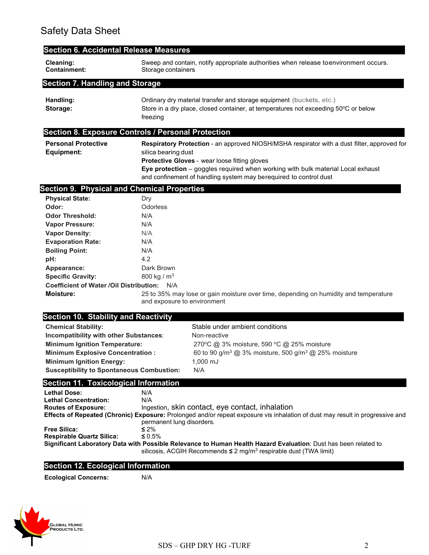| <b>Section 6. Accidental Release Measures</b>                                                                                                                                                                                                                                                                                                                                                                                                                                                                                        |                                                                                                                                                                                                                                                                                                                             |                                                                                                                                                                                                                                                                                                                                                                                            |  |
|--------------------------------------------------------------------------------------------------------------------------------------------------------------------------------------------------------------------------------------------------------------------------------------------------------------------------------------------------------------------------------------------------------------------------------------------------------------------------------------------------------------------------------------|-----------------------------------------------------------------------------------------------------------------------------------------------------------------------------------------------------------------------------------------------------------------------------------------------------------------------------|--------------------------------------------------------------------------------------------------------------------------------------------------------------------------------------------------------------------------------------------------------------------------------------------------------------------------------------------------------------------------------------------|--|
| Cleaning:<br><b>Containment:</b>                                                                                                                                                                                                                                                                                                                                                                                                                                                                                                     | Storage containers                                                                                                                                                                                                                                                                                                          | Sweep and contain, notify appropriate authorities when release toenvironment occurs.                                                                                                                                                                                                                                                                                                       |  |
| <b>Section 7. Handling and Storage</b>                                                                                                                                                                                                                                                                                                                                                                                                                                                                                               |                                                                                                                                                                                                                                                                                                                             |                                                                                                                                                                                                                                                                                                                                                                                            |  |
| Handling:<br>Storage:                                                                                                                                                                                                                                                                                                                                                                                                                                                                                                                | Ordinary dry material transfer and storage equipment (buckets, etc.)<br>Store in a dry place, closed container, at temperatures not exceeding 50°C or below<br>freezing                                                                                                                                                     |                                                                                                                                                                                                                                                                                                                                                                                            |  |
| <b>Section 8. Exposure Controls / Personal Protection</b>                                                                                                                                                                                                                                                                                                                                                                                                                                                                            |                                                                                                                                                                                                                                                                                                                             |                                                                                                                                                                                                                                                                                                                                                                                            |  |
| <b>Personal Protective</b><br><b>Equipment:</b>                                                                                                                                                                                                                                                                                                                                                                                                                                                                                      | Respiratory Protection - an approved NIOSH/MSHA respirator with a dust filter, approved for<br>silica bearing dust<br>Protective Gloves - wear loose fitting gloves<br>Eye protection - goggles required when working with bulk material Local exhaust<br>and confinement of handling system may berequired to control dust |                                                                                                                                                                                                                                                                                                                                                                                            |  |
| <b>Section 9. Physical and Chemical Properties</b>                                                                                                                                                                                                                                                                                                                                                                                                                                                                                   |                                                                                                                                                                                                                                                                                                                             |                                                                                                                                                                                                                                                                                                                                                                                            |  |
| <b>Physical State:</b><br>Odor:<br><b>Odor Threshold:</b><br><b>Vapor Pressure:</b><br><b>Vapor Density:</b><br><b>Evaporation Rate:</b><br><b>Boiling Point:</b><br>pH:<br>Appearance:<br><b>Specific Gravity:</b><br>Coefficient of Water / Oil Distribution: N/A<br><b>Moisture:</b><br><b>Section 10. Stability and Reactivity</b><br><b>Chemical Stability:</b><br>Incompatibility with other Substances:<br><b>Minimum Ignition Temperature:</b><br><b>Minimum Explosive Concentration:</b><br><b>Minimum Ignition Energy:</b> | Dry<br>Odorless<br>N/A<br>N/A<br>N/A<br>N/A<br>N/A<br>4.2<br>Dark Brown<br>800 kg / $m^3$<br>and exposure to environment                                                                                                                                                                                                    | 25 to 35% may lose or gain moisture over time, depending on humidity and temperature<br>Stable under ambient conditions<br>Non-reactive<br>270°C @ 3% moisture, 590 °C @ 25% moisture<br>60 to 90 g/m <sup>3</sup> @ 3% moisture, 500 g/m <sup>3</sup> @ 25% moisture<br>$1,000 \; \text{mJ}$                                                                                              |  |
| <b>Susceptibility to Spontaneous Combustion:</b>                                                                                                                                                                                                                                                                                                                                                                                                                                                                                     |                                                                                                                                                                                                                                                                                                                             | N/A                                                                                                                                                                                                                                                                                                                                                                                        |  |
| <b>Section 11. Toxicological Information</b><br><b>Lethal Dose:</b><br><b>Lethal Concentration:</b><br><b>Routes of Exposure:</b><br><b>Free Silica:</b><br><b>Respirable Quartz Silica:</b>                                                                                                                                                                                                                                                                                                                                         | N/A<br>N/A<br>permanent lung disorders.<br>$\leq 2\%$<br>$\leq 0.5\%$                                                                                                                                                                                                                                                       | Ingestion, skin contact, eye contact, inhalation<br>Effects of Repeated (Chronic) Exposure: Prolonged and/or repeat exposure vis inhalation of dust may result in progressive and<br>Significant Laboratory Data with Possible Relevance to Human Health Hazard Evaluation: Dust has been related to<br>silicosis, ACGIH Recommends $\leq 2$ mg/m <sup>3</sup> respirable dust (TWA limit) |  |
|                                                                                                                                                                                                                                                                                                                                                                                                                                                                                                                                      |                                                                                                                                                                                                                                                                                                                             |                                                                                                                                                                                                                                                                                                                                                                                            |  |
| <b>Section 12. Ecological Information</b>                                                                                                                                                                                                                                                                                                                                                                                                                                                                                            |                                                                                                                                                                                                                                                                                                                             |                                                                                                                                                                                                                                                                                                                                                                                            |  |